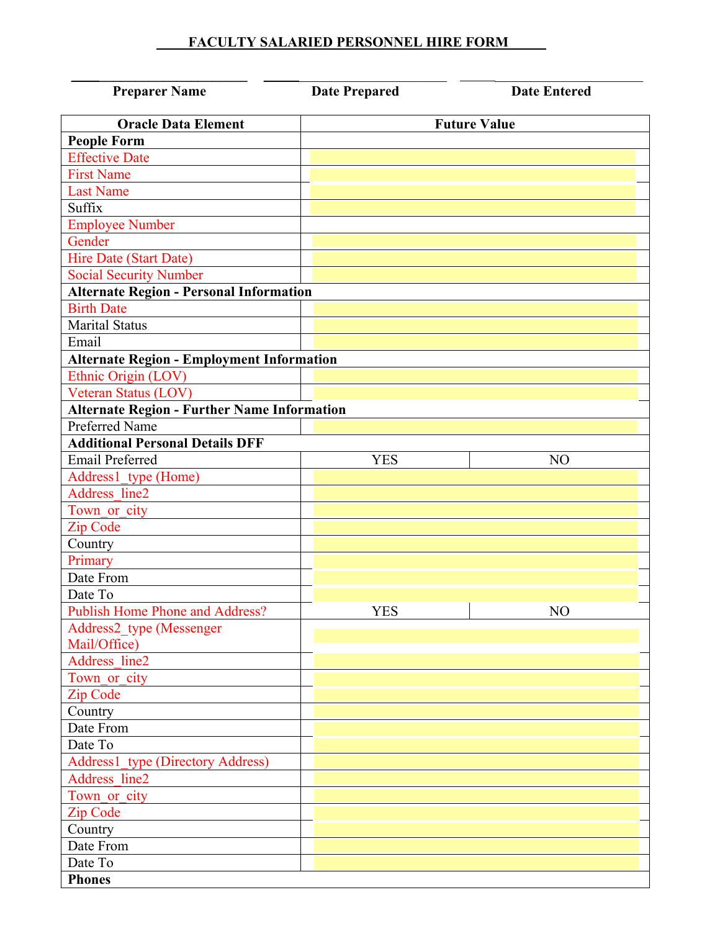## **FACULTY SALARIED PERSONNEL HIRE FORM**

| <b>Preparer Name</b>                               | <b>Date Prepared</b> | <b>Date Entered</b> |
|----------------------------------------------------|----------------------|---------------------|
| <b>Oracle Data Element</b>                         | <b>Future Value</b>  |                     |
| <b>People Form</b>                                 |                      |                     |
| <b>Effective Date</b>                              |                      |                     |
| <b>First Name</b>                                  |                      |                     |
| <b>Last Name</b>                                   |                      |                     |
| Suffix                                             |                      |                     |
| <b>Employee Number</b>                             |                      |                     |
| Gender                                             |                      |                     |
| <b>Hire Date (Start Date)</b>                      |                      |                     |
| <b>Social Security Number</b>                      |                      |                     |
| <b>Alternate Region - Personal Information</b>     |                      |                     |
| <b>Birth Date</b>                                  |                      |                     |
| <b>Marital Status</b>                              |                      |                     |
| Email                                              |                      |                     |
| <b>Alternate Region - Employment Information</b>   |                      |                     |
| Ethnic Origin (LOV)                                |                      |                     |
| Veteran Status (LOV)                               |                      |                     |
| <b>Alternate Region - Further Name Information</b> |                      |                     |
| Preferred Name                                     |                      |                     |
| <b>Additional Personal Details DFF</b>             |                      |                     |
| <b>Email Preferred</b>                             | <b>YES</b>           | N <sub>O</sub>      |
|                                                    |                      |                     |
| Address1_type (Home)<br>Address line2              |                      |                     |
|                                                    |                      |                     |
| Town or city                                       |                      |                     |
| Zip Code                                           |                      |                     |
| Country                                            |                      |                     |
| Primary                                            |                      |                     |
| Date From                                          |                      |                     |
| Date To                                            | <b>YES</b>           | NO                  |
| <b>Publish Home Phone and Address?</b>             |                      |                     |
| Address2_type (Messenger                           |                      |                     |
| Mail/Office)<br>Address line2                      |                      |                     |
|                                                    |                      |                     |
| Town_or_city                                       |                      |                     |
| Zip Code                                           |                      |                     |
| Country                                            |                      |                     |
| Date From                                          |                      |                     |
| Date To                                            |                      |                     |
| Address1_type (Directory Address)                  |                      |                     |
| Address line2                                      |                      |                     |
| Town or city                                       |                      |                     |
| Zip Code                                           |                      |                     |
| Country                                            |                      |                     |
| Date From                                          |                      |                     |
| Date To                                            |                      |                     |
| <b>Phones</b>                                      |                      |                     |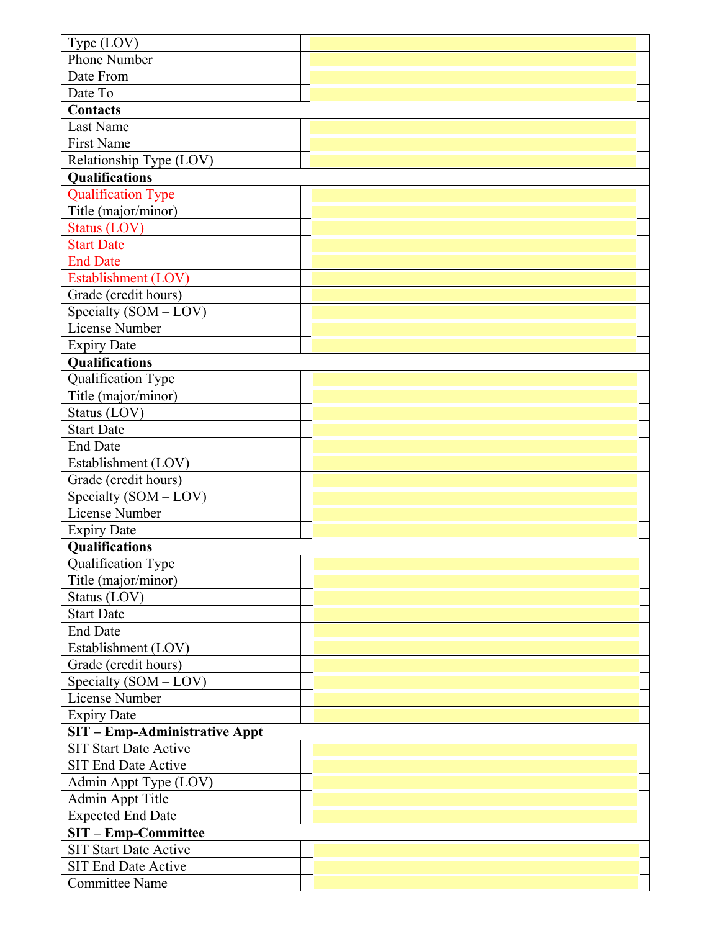| Type (LOV)                    |  |  |
|-------------------------------|--|--|
| <b>Phone Number</b>           |  |  |
| Date From                     |  |  |
| Date To                       |  |  |
| <b>Contacts</b>               |  |  |
| Last Name                     |  |  |
| First Name                    |  |  |
| Relationship Type (LOV)       |  |  |
| Qualifications                |  |  |
| <b>Qualification Type</b>     |  |  |
| Title (major/minor)           |  |  |
| Status (LOV)                  |  |  |
| <b>Start Date</b>             |  |  |
| <b>End Date</b>               |  |  |
| Establishment (LOV)           |  |  |
| Grade (credit hours)          |  |  |
| Specialty (SOM - LOV)         |  |  |
| License Number                |  |  |
| <b>Expiry Date</b>            |  |  |
| Qualifications                |  |  |
| Qualification Type            |  |  |
| Title (major/minor)           |  |  |
| Status (LOV)                  |  |  |
| <b>Start Date</b>             |  |  |
| <b>End Date</b>               |  |  |
| Establishment (LOV)           |  |  |
| Grade (credit hours)          |  |  |
| Specialty (SOM - LOV)         |  |  |
| <b>License Number</b>         |  |  |
| <b>Expiry Date</b>            |  |  |
| Qualifications                |  |  |
| Qualification Type            |  |  |
| Title (major/minor)           |  |  |
| Status (LOV)                  |  |  |
| <b>Start Date</b>             |  |  |
| <b>End Date</b>               |  |  |
| Establishment (LOV)           |  |  |
| Grade (credit hours)          |  |  |
| Specialty $(SOM - LOV)$       |  |  |
| License Number                |  |  |
| <b>Expiry Date</b>            |  |  |
| SIT - Emp-Administrative Appt |  |  |
| <b>SIT Start Date Active</b>  |  |  |
| <b>SIT End Date Active</b>    |  |  |
| Admin Appt Type (LOV)         |  |  |
| Admin Appt Title              |  |  |
| <b>Expected End Date</b>      |  |  |
| <b>SIT-Emp-Committee</b>      |  |  |
| <b>SIT Start Date Active</b>  |  |  |
| <b>SIT End Date Active</b>    |  |  |
| <b>Committee Name</b>         |  |  |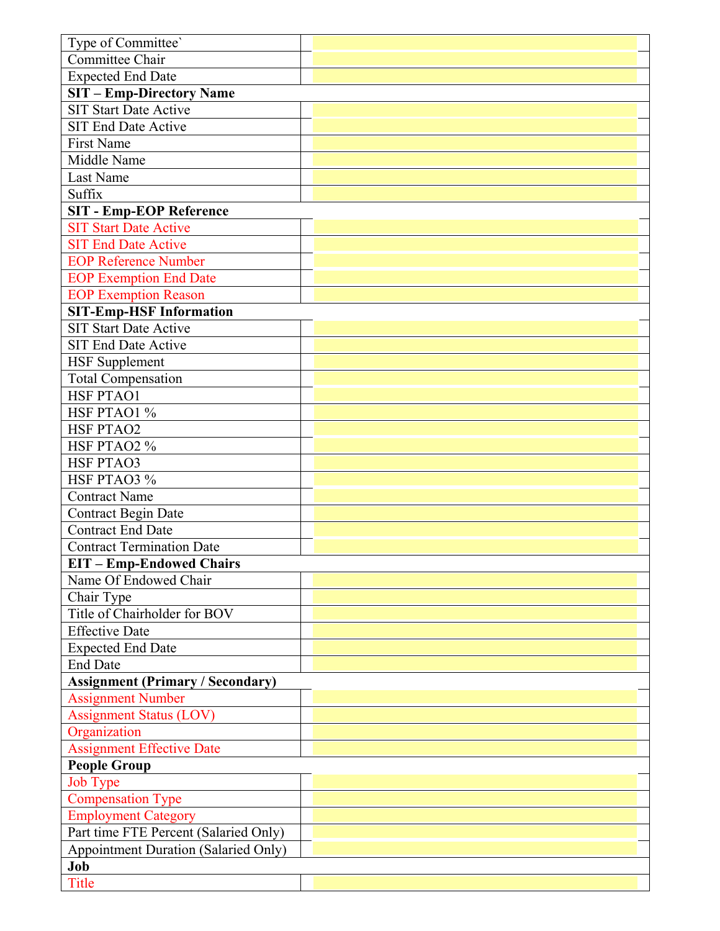| Type of Committee'                          |  |  |
|---------------------------------------------|--|--|
| Committee Chair                             |  |  |
| <b>Expected End Date</b>                    |  |  |
| <b>SIT - Emp-Directory Name</b>             |  |  |
| <b>SIT Start Date Active</b>                |  |  |
| <b>SIT End Date Active</b>                  |  |  |
| <b>First Name</b>                           |  |  |
| Middle Name                                 |  |  |
| <b>Last Name</b>                            |  |  |
| Suffix                                      |  |  |
| <b>SIT - Emp-EOP Reference</b>              |  |  |
| <b>SIT Start Date Active</b>                |  |  |
| <b>SIT End Date Active</b>                  |  |  |
|                                             |  |  |
| <b>EOP Reference Number</b>                 |  |  |
| <b>EOP Exemption End Date</b>               |  |  |
| <b>EOP Exemption Reason</b>                 |  |  |
| <b>SIT-Emp-HSF Information</b>              |  |  |
| <b>SIT Start Date Active</b>                |  |  |
| <b>SIT End Date Active</b>                  |  |  |
| <b>HSF</b> Supplement                       |  |  |
| <b>Total Compensation</b>                   |  |  |
| HSF PTAO1                                   |  |  |
| HSF PTAO1 %                                 |  |  |
| <b>HSF PTAO2</b>                            |  |  |
| HSF PTAO2 %                                 |  |  |
| <b>HSF PTAO3</b>                            |  |  |
| HSF PTAO3 %                                 |  |  |
| <b>Contract Name</b>                        |  |  |
| <b>Contract Begin Date</b>                  |  |  |
| <b>Contract End Date</b>                    |  |  |
| <b>Contract Termination Date</b>            |  |  |
| <b>EIT-Emp-Endowed Chairs</b>               |  |  |
| Name Of Endowed Chair                       |  |  |
| Chair Type                                  |  |  |
| Title of Chairholder for BOV                |  |  |
| <b>Effective Date</b>                       |  |  |
| <b>Expected End Date</b>                    |  |  |
| <b>End Date</b>                             |  |  |
| <b>Assignment (Primary / Secondary)</b>     |  |  |
| <b>Assignment Number</b>                    |  |  |
| <b>Assignment Status (LOV)</b>              |  |  |
| Organization                                |  |  |
| <b>Assignment Effective Date</b>            |  |  |
| <b>People Group</b>                         |  |  |
| <b>Job Type</b>                             |  |  |
| <b>Compensation Type</b>                    |  |  |
| <b>Employment Category</b>                  |  |  |
| Part time FTE Percent (Salaried Only)       |  |  |
| <b>Appointment Duration (Salaried Only)</b> |  |  |
| Job                                         |  |  |
| <b>Title</b>                                |  |  |